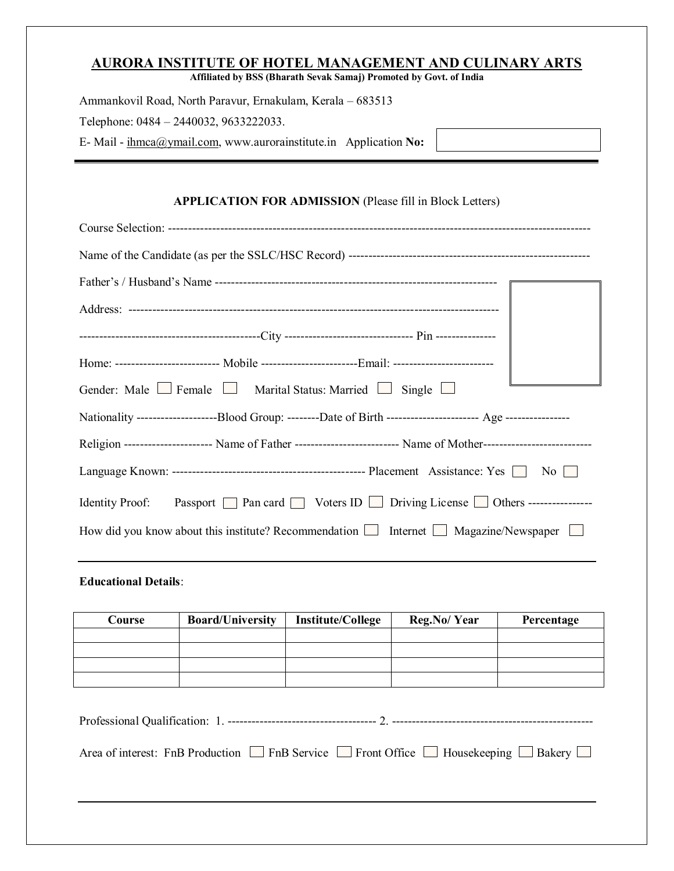## **AURORA INSTITUTE OF HOTEL MANAGEMENT AND CULINARY ARTS**

**Affiliated by BSS (Bharath Sevak Samaj) Promoted by Govt. of India**

| Ammankovil Road, North Paravur, Ernakulam, Kerala – 683513       |  |  |  |  |  |  |  |
|------------------------------------------------------------------|--|--|--|--|--|--|--|
| Telephone: 0484 – 2440032, 9633222033.                           |  |  |  |  |  |  |  |
| E-Mail - ihmca@ymail.com, www.aurorainstitute.in Application No: |  |  |  |  |  |  |  |

## **APPLICATION FOR ADMISSION** (Please fill in Block Letters)

| Home: ------------------------- Mobile ------------------------Email: -------------------------                 |
|-----------------------------------------------------------------------------------------------------------------|
| Gender: Male $\Box$ Female $\Box$ Marital Status: Married $\Box$ Single $\Box$                                  |
|                                                                                                                 |
| Religion --------------------- Name of Father -------------------------- Name of Mother------------------------ |
|                                                                                                                 |
| Identity Proof: Passport □ Pan card □ Voters ID □ Driving License □ Others ---------------                      |
| How did you know about this institute? Recommendation $\Box$ Internet $\Box$ Magazine/Newspaper $\Box$          |

#### **Educational Details**:

| <b>Course</b> | <b>Board/University</b><br><b>Institute/College</b>                                                              |  | Reg.No/Year | Percentage |  |
|---------------|------------------------------------------------------------------------------------------------------------------|--|-------------|------------|--|
|               |                                                                                                                  |  |             |            |  |
|               |                                                                                                                  |  |             |            |  |
|               |                                                                                                                  |  |             |            |  |
|               |                                                                                                                  |  |             |            |  |
|               |                                                                                                                  |  |             |            |  |
|               | Area of interest: FnB Production $\Box$ FnB Service $\Box$ Front Office $\Box$ Housekeeping $\Box$ Bakery $\Box$ |  |             |            |  |
|               |                                                                                                                  |  |             |            |  |
|               |                                                                                                                  |  |             |            |  |
|               |                                                                                                                  |  |             |            |  |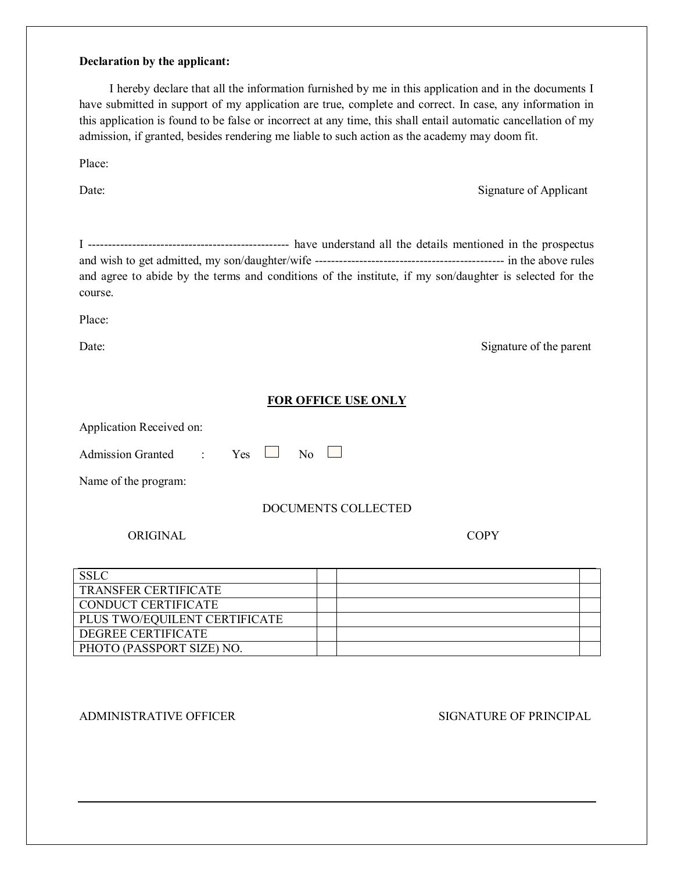#### **Declaration by the applicant:**

 I hereby declare that all the information furnished by me in this application and in the documents I have submitted in support of my application are true, complete and correct. In case, any information in this application is found to be false or incorrect at any time, this shall entail automatic cancellation of my admission, if granted, besides rendering me liable to such action as the academy may doom fit.

Place:

Date: Signature of Applicant

I -------------------------------------------------- have understand all the details mentioned in the prospectus and wish to get admitted, my son/daughter/wife ----------------------------------------------- in the above rules and agree to abide by the terms and conditions of the institute, if my son/daughter is selected for the course.

Place:

Date: Signature of the parent

#### **FOR OFFICE USE ONLY**

Application Received on: Admission Granted : Yes  $\Box$  No  $\Box$ Name of the program:

L

# DOCUMENTS COLLECTED

#### ORIGINAL COPY

| <b>SSLC</b>                   |  |  |
|-------------------------------|--|--|
| <b>TRANSFER CERTIFICATE</b>   |  |  |
| <b>CONDUCT CERTIFICATE</b>    |  |  |
| PLUS TWO/EQUILENT CERTIFICATE |  |  |
| DEGREE CERTIFICATE            |  |  |
| PHOTO (PASSPORT SIZE) NO.     |  |  |

L

ADMINISTRATIVE OFFICER SIGNATURE OF PRINCIPAL